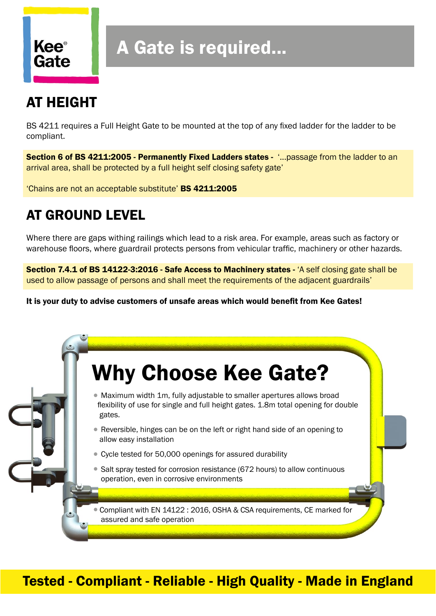

# A Gate is required...

## AT HEIGHT

BS 4211 requires a Full Height Gate to be mounted at the top of any fixed ladder for the ladder to be compliant.

Section 6 of BS 4211:2005 - Permanently Fixed Ladders states - '...passage from the ladder to an arrival area, shall be protected by a full height self closing safety gate'

'Chains are not an acceptable substitute' BS 4211:2005

## AT GROUND LEVEL

Where there are gaps withing railings which lead to a risk area. For example, areas such as factory or warehouse floors, where guardrail protects persons from vehicular traffic, machinery or other hazards.

Section 7.4.1 of BS 14122-3:2016 - Safe Access to Machinery states - 'A self closing gate shall be used to allow passage of persons and shall meet the requirements of the adjacent guardrails'

It is your duty to advise customers of unsafe areas which would benefit from Kee Gates!

# • Maximum width 1m, fully adjustable to smaller apertures allows broad flexibility of use for single and full height gates. 1.8m total opening for double gates. • Reversible, hinges can be on the left or right hand side of an opening to allow easy installation • Cycle tested for 50,000 openings for assured durability • Salt spray tested for corrosion resistance (672 hours) to allow continuous operation, even in corrosive environments •Compliant with EN 14122 : 2016, OSHA & CSA requirements, CE marked for assured and safe operation Why Choose Kee Gate?

### Tested - Compliant - Reliable - High Quality - Made in England